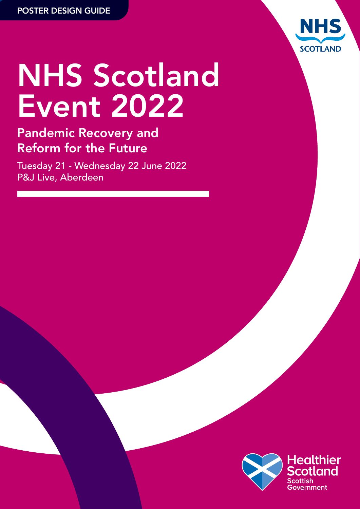

# NHS Scotland Event 2022

### Pandemic Recovery and Reform for the Future

Tuesday 21 - Wednesday 22 June 2022 P&J Live, Aberdeen

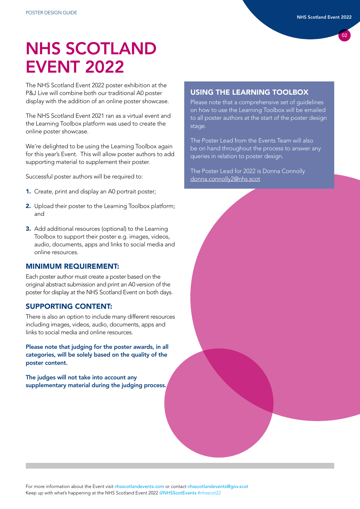### NHS SCOTLAND EVENT 2022

The NHS Scotland Event 2022 poster exhibition at the P&J Live will combine both our traditional A0 poster display with the addition of an online poster showcase.

The NHS Scotland Event 2021 ran as a virtual event and the Learning Toolbox platform was used to create the online poster showcase.

We're delighted to be using the Learning Toolbox again for this year's Event. This will allow poster authors to add supporting material to supplement their poster.

Successful poster authors will be required to:

- 1. Create, print and display an A0 portrait poster;
- 2. Upload their poster to the Learning Toolbox platform; and
- 3. Add additional resources (optional) to the Learning Toolbox to support their poster e.g. images, videos, audio, documents, apps and links to social media and online resources.

#### MINIMUM REQUIREMENT:

Each poster author must create a poster based on the original abstract submission and print an A0 version of the poster for display at the NHS Scotland Event on both days.

#### SUPPORTING CONTENT:

There is also an option to include many different resources including images, videos, audio, documents, apps and links to social media and online resources.

Please note that judging for the poster awards, in all categories, will be solely based on the quality of the poster content.

The judges will not take into account any supplementary material during the judging process.

#### USING THE LEARNING TOOLBOX

Please note that a comprehensive set of guidelines on how to use the Learning Toolbox will be emailed to all poster authors at the start of the poster design stage.

The Poster Lead from the Events Team will also be on hand throughout the process to answer any queries in relation to poster design.

The Poster Lead for 2022 is Donna Connolly [donna.connolly2@nhs.scot](mailto:donna.connolly2%40nhs.scot?subject=)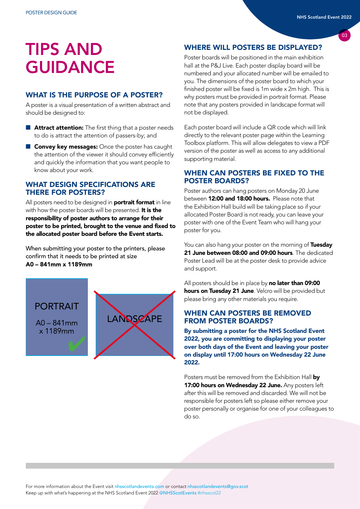### TIPS AND **GUIDANCE**

#### WHAT IS THE PURPOSE OF A POSTER?

A poster is a visual presentation of a written abstract and should be designed to:

- Attract attention: The first thing that a poster needs to do is attract the attention of passers-by; and
- Convey key messages: Once the poster has caught the attention of the viewer it should convey efficiently and quickly the information that you want people to know about your work.

#### WHAT DESIGN SPECIFICATIONS ARE THERE FOR POSTERS?

All posters need to be designed in **portrait format** in line with how the poster boards will be presented. It is the responsibility of poster authors to arrange for their poster to be printed, brought to the venue and fixed to the allocated poster board before the Event starts.

When submitting your poster to the printers, please confirm that it needs to be printed at size A0 – 841mm x 1189mm



#### WHERE WILL POSTERS BE DISPLAYED?

Poster boards will be positioned in the main exhibition hall at the P&J Live. Each poster display board will be numbered and your allocated number will be emailed to you. The dimensions of the poster board to which your finished poster will be fixed is 1m wide x 2m high. This is why posters must be provided in portrait format. Please note that any posters provided in landscape format will not be displayed.

Each poster board will include a QR code which will link directly to the relevant poster page within the Learning Toolbox platform. This will allow delegates to view a PDF version of the poster as well as access to any additional supporting material.

#### WHEN CAN POSTERS BE FIXED TO THE POSTER BOARDS?

Poster authors can hang posters on Monday 20 June between **12:00 and 18:00 hours.** Please note that the Exhibition Hall build will be taking place so if your allocated Poster Board is not ready, you can leave your poster with one of the Event Team who will hang your poster for you.

You can also hang your poster on the morning of Tuesday 21 June between 08:00 and 09:00 hours. The dedicated Poster Lead will be at the poster desk to provide advice and support.

All posters should be in place by no later than 09:00 hours on Tuesday 21 June. Velcro will be provided but please bring any other materials you require.

#### WHEN CAN POSTERS BE REMOVED FROM POSTER BOARDS?

By submitting a poster for the NHS Scotland Event 2022, you are committing to displaying your poster over both days of the Event and leaving your poster on display until 17:00 hours on Wednesday 22 June 2022.

Posters must be removed from the Exhibition Hall by 17:00 hours on Wednesday 22 June. Any posters left after this will be removed and discarded. We will not be responsible for posters left so please either remove your poster personally or organise for one of your colleagues to do so.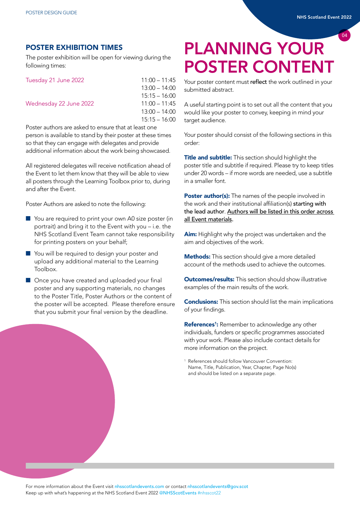#### POSTER EXHIBITION TIMES

The poster exhibition will be open for viewing during the following times:

| Tuesday 21 June 2022                                                                                           | $11:00 - 11:45$ |
|----------------------------------------------------------------------------------------------------------------|-----------------|
|                                                                                                                | $13:00 - 14:00$ |
|                                                                                                                | $15:15 - 16:00$ |
| Wednesday 22 June 2022                                                                                         | $11:00 - 11:45$ |
|                                                                                                                | $13:00 - 14:00$ |
|                                                                                                                | $15:15 - 16:00$ |
| in the state of the state of the state of the state of the state of the state of the state of the state of the |                 |

Poster authors are asked to ensure that at least one person is available to stand by their poster at these times so that they can engage with delegates and provide additional information about the work being showcased.

All registered delegates will receive notification ahead of the Event to let them know that they will be able to view all posters through the Learning Toolbox prior to, during and after the Event.

Poster Authors are asked to note the following:

- You are required to print your own A0 size poster (in portrait) and bring it to the Event with you – i.e. the NHS Scotland Event Team cannot take responsibility for printing posters on your behalf;
- You will be required to design your poster and upload any additional material to the Learning Toolbox.
- Once you have created and uploaded your final poster and any supporting materials, no changes to the Poster Title, Poster Authors or the content of the poster will be accepted. Please therefore ensure that you submit your final version by the deadline.

## PLANNING YOUR POSTER CONTENT

Your poster content must reflect the work outlined in your submitted abstract.

A useful starting point is to set out all the content that you would like your poster to convey, keeping in mind your target audience.

Your poster should consist of the following sections in this order:

**Title and subtitle:** This section should highlight the poster title and subtitle if required. Please try to keep titles under 20 words – if more words are needed, use a subtitle in a smaller font.

Poster author(s): The names of the people involved in the work and their institutional affiliation(s) starting with the lead author. Authors will be listed in this order across all Event materials.

Aim: Highlight why the project was undertaken and the aim and objectives of the work.

**Methods:** This section should give a more detailed account of the methods used to achieve the outcomes.

**Outcomes/results:** This section should show illustrative examples of the main results of the work.

**Conclusions:** This section should list the main implications of your findings.

References<sup>1</sup>: Remember to acknowledge any other individuals, funders or specific programmes associated with your work. Please also include contact details for more information on the project.

<sup>1</sup> References should follow Vancouver Convention: Name, Title, Publication, Year, Chapter, Page No(s) and should be listed on a separate page.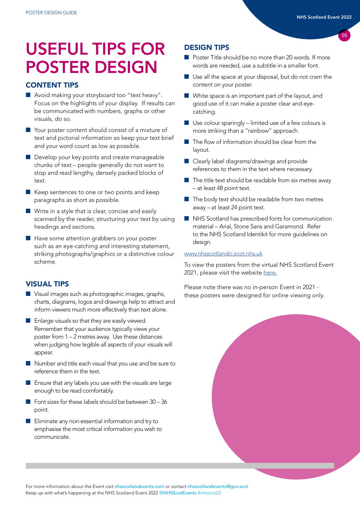### USEFUL TIPS FOR POSTER DESIGN

#### CONTENT TIPS

- Avoid making your storyboard too "text heavy". Focus on the highlights of your display. If results can be communicated with numbers, graphs or other visuals, do so.
- Your poster content should consist of a mixture of text and pictorial information so keep your text brief and your word count as low as possible.
- Develop your key points and create manageable chunks of text – people generally do not want to stop and read lengthy, densely packed blocks of text.
- Keep sentences to one or two points and keep paragraphs as short as possible.
- Write in a style that is clear, concise and easily scanned by the reader, structuring your text by using headings and sections.
- Have some attention grabbers on your poster such as an eye-catching and interesting statement, striking photographs/graphics or a distinctive colour scheme.

#### VISUAL TIPS

- Visual images such as photographic images, graphs, charts, diagrams, logos and drawings help to attract and inform viewers much more effectively than text alone.
- Enlarge visuals so that they are easily viewed. Remember that your audience typically views your poster from 1 – 2 metres away. Use these distances when judging how legible all aspects of your visuals will appear.
- Number and title each visual that you use and be sure to reference them in the text.
- Ensure that any labels you use with the visuals are large enough to be read comfortably.
- Font sizes for these labels should be between 30 36 point.
- Eliminate any non-essential information and try to emphasise the most critical information you wish to communicate.

#### DESIGN TIPS

- Poster Title should be no more than 20 words. If more words are needed, use a subtitle in a smaller font.
- Use all the space at your disposal, but do not cram the content on your poster.
- White space is an important part of the layout, and good use of it can make a poster clear and eyecatching.
- $\blacksquare$  Use colour sparingly limited use of a few colours is more striking than a "rainbow" approach.
- The flow of information should be clear from the layout.
- Clearly label diagrams/drawings and provide references to them in the text where necessary.
- The title text should be readable from six metres away – at least 48 point text.
- The body text should be readable from two metres away – at least 24 point text.
- NHS Scotland has prescribed fonts for communication material – Arial, Stone Sans and Garamond. Refer to the NHS Scotland Identikit for more guidelines on design.

#### [www.nhsscotlandci.scot.nhs.uk](http://www.nhsscotlandci.scot.nhs.uk )

To view the posters from the virtual NHS Scotland Event 2021, please visit the website [here.](https://nhsscotlandevents.com/nhs-scotland-event-2021/eposters)

Please note there was no in-person Event in 2021 these posters were designed for online viewing only.